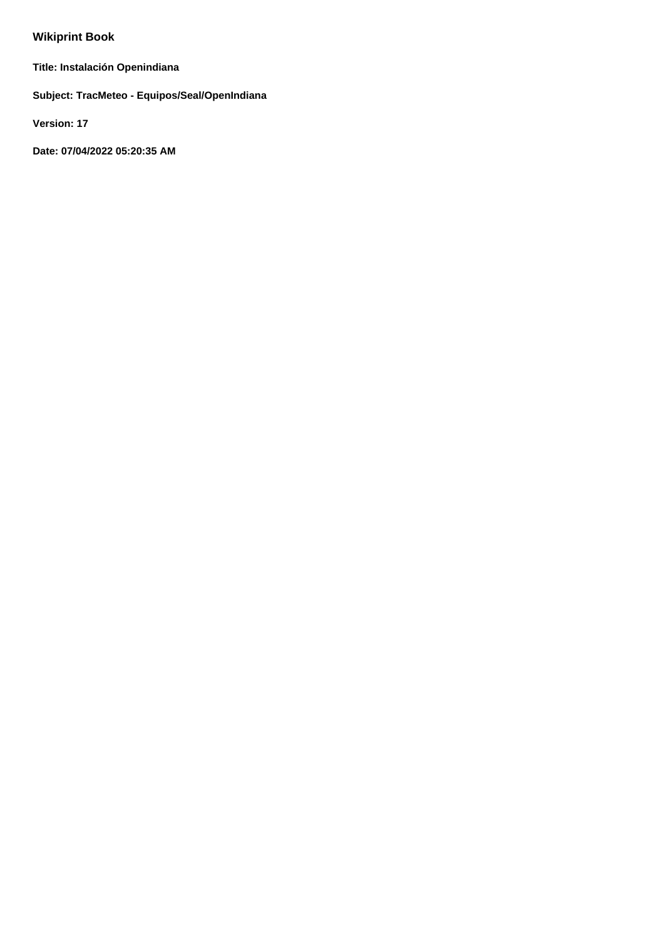# **Wikiprint Book**

**Title: Instalación Openindiana**

**Subject: TracMeteo - Equipos/Seal/OpenIndiana**

**Version: 17**

**Date: 07/04/2022 05:20:35 AM**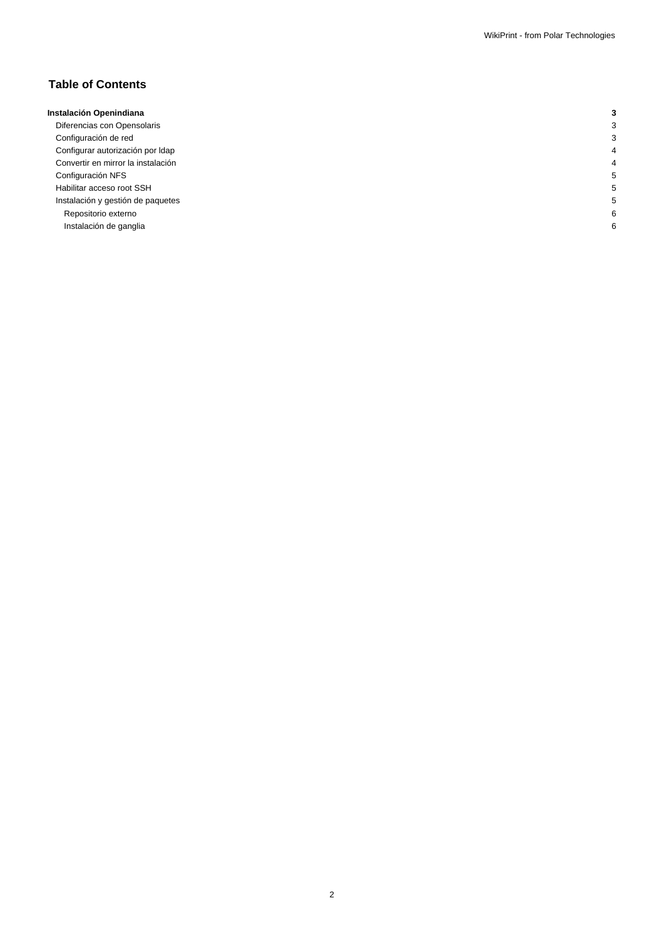## **Table of Contents**

| Instalación Openindiana            |  |
|------------------------------------|--|
| Diferencias con Opensolaris        |  |
| Configuración de red               |  |
| Configurar autorización por Idap   |  |
| Convertir en mirror la instalación |  |
| Configuración NFS                  |  |
| Habilitar acceso root SSH          |  |
| Instalación y gestión de paquetes  |  |
| Repositorio externo                |  |
| Instalación de ganglia             |  |
|                                    |  |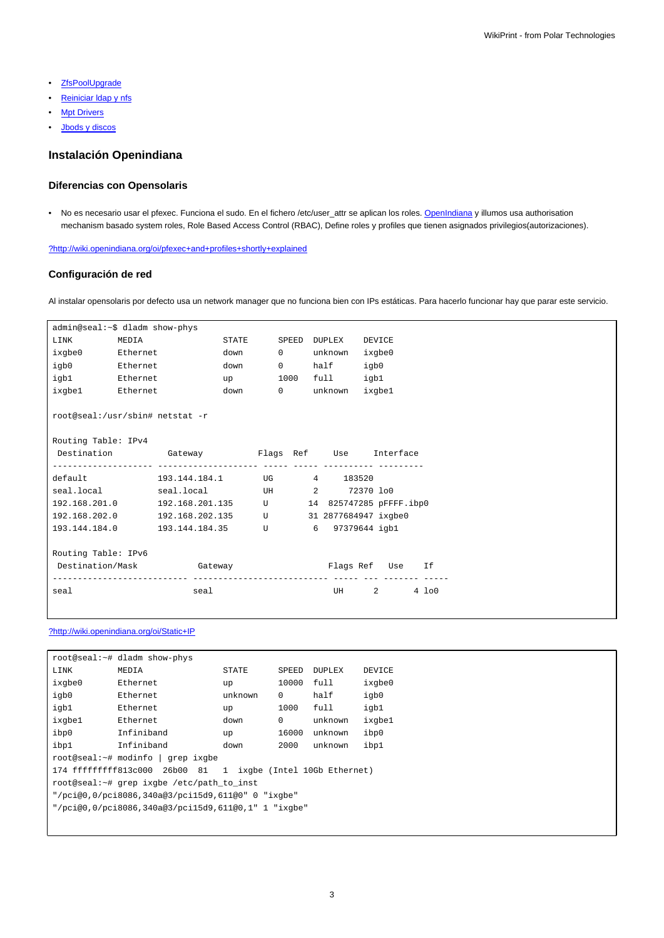- [ZfsPoolUpgrade](https://meteo.unican.es/trac/wiki/Equipos/Seal/ZfsPoolUpgrade)
- Reiniciar Idap y nfs
- **[Mpt Drivers](https://meteo.unican.es/trac/wiki/Equipos/Seal/MptDrivers)**
- [Jbods y discos](https://meteo.unican.es/trac/wiki/Equipos/Seal/Jbods)

## **Instalación Openindiana**

## **Diferencias con Opensolaris**

• No es necesario usar el pfexec. Funciona el sudo. En el fichero /etc/user\_attr se aplican los roles. [OpenIndiana](https://meteo.unican.es/trac/wiki/Equipos/Seal/OpenIndiana) y illumos usa authorisation mechanism basado system roles, Role Based Access Control (RBAC), Define roles y profiles que tienen asignados privilegios(autorizaciones).

[?http://wiki.openindiana.org/oi/pfexec+and+profiles+shortly+explained](http://wiki.openindiana.org/oi/pfexec+and+profiles+shortly+explained)

## **Configuración de red**

Al instalar opensolaris por defecto usa un network manager que no funciona bien con IPs estáticas. Para hacerlo funcionar hay que parar este servicio.

| admin@seal:~\$ dladm show-phys                                  |          |                                                         |               |  |                   |               |              |        |                                |          |
|-----------------------------------------------------------------|----------|---------------------------------------------------------|---------------|--|-------------------|---------------|--------------|--------|--------------------------------|----------|
| LINK                                                            | MEDIA    |                                                         | STATE         |  |                   | SPEED DUPLEX  |              | DEVICE |                                |          |
| ixgbe0                                                          | Ethernet |                                                         | down          |  | $0 \qquad \qquad$ | unknown       |              | ixgbe0 |                                |          |
| igb0 Ethernet                                                   |          |                                                         | down          |  |                   | 0 half        |              | igb0   |                                |          |
| igb1 Ethernet                                                   |          |                                                         | $up$ and $up$ |  |                   | 1000 full     |              | igb1   |                                |          |
| ixgbel Ethernet                                                 |          |                                                         | down          |  |                   | 0 unknown     |              | ixqbel |                                |          |
| root@seal:/usr/sbin# netstat -r                                 |          |                                                         |               |  |                   |               |              |        |                                |          |
| Routing Table: IPv4                                             |          |                                                         |               |  |                   |               |              |        |                                |          |
|                                                                 |          | Destination  Gateway  Garega  Flags Ref  Use  Interface |               |  |                   |               |              |        |                                |          |
|                                                                 |          |                                                         |               |  |                   |               |              |        |                                |          |
|                                                                 |          | default 193.144.184.1 UG 4 183520                       |               |  |                   |               |              |        |                                |          |
|                                                                 |          | seal.local seal.local UH 2 72370 lo0                    |               |  |                   |               |              |        |                                |          |
| 192.168.201.0   192.168.201.135   U   14 825747285   pFFFF.ibp0 |          |                                                         |               |  |                   |               |              |        |                                |          |
| 192.168.202.0   192.168.202.135   U   31 2877684947 ixqbe0      |          |                                                         |               |  |                   |               |              |        |                                |          |
| 193.144.184.0    193.144.184.35    U    6    97379644    iqbl   |          |                                                         |               |  |                   |               |              |        |                                |          |
|                                                                 |          |                                                         |               |  |                   |               |              |        |                                |          |
| Routing Table: IPv6                                             |          |                                                         |               |  |                   |               |              |        |                                |          |
| Destination/Mask Gateway                                        |          |                                                         |               |  |                   | Flags Ref Use |              |        |                                | If       |
| seal                                                            |          | seal                                                    |               |  |                   |               | UH <b>UM</b> |        | $2 \left( \frac{1}{2} \right)$ | $4\;100$ |
|                                                                 |          |                                                         |               |  |                   |               |              |        |                                |          |

### [?http://wiki.openindiana.org/oi/Static+IP](http://wiki.openindiana.org/oi/Static+IP)

| root@seal:~# dladm show-phys                                    |            |         |          |               |               |  |  |
|-----------------------------------------------------------------|------------|---------|----------|---------------|---------------|--|--|
| LINK                                                            | MEDIA      | STATE   | SPEED    | <b>DUPLEX</b> | <b>DEVICE</b> |  |  |
| ixgbe0                                                          | Ethernet   | up      | 10000    | full          | ixgbe0        |  |  |
| igb0                                                            | Ethernet   | unknown | $\Omega$ | half          | igb0          |  |  |
| igb1                                                            | Ethernet   | up      | 1000     | full          | igb1          |  |  |
| ixqbe1                                                          | Ethernet.  | down    | $\Omega$ | unknown       | ixqbe1        |  |  |
| ibp0                                                            | Infiniband | up      | 16000    | unknown       | ibp0          |  |  |
| ibp1                                                            | Infiniband | down    | 2000     | unknown       | ibp1          |  |  |
| root@seal:~# modinfo   grep ixgbe                               |            |         |          |               |               |  |  |
| 174 ffffffffff813c000 26b00 81<br>1 ixgbe (Intel 10Gb Ethernet) |            |         |          |               |               |  |  |
| root@seal:~# grep ixgbe /etc/path to inst                       |            |         |          |               |               |  |  |
| "/pci@0,0/pci8086,340a@3/pci15d9,611@0" 0 "ixqbe"               |            |         |          |               |               |  |  |
| "/pci@0,0/pci8086,340a@3/pci15d9,611@0,1" 1 "ixqbe"             |            |         |          |               |               |  |  |
|                                                                 |            |         |          |               |               |  |  |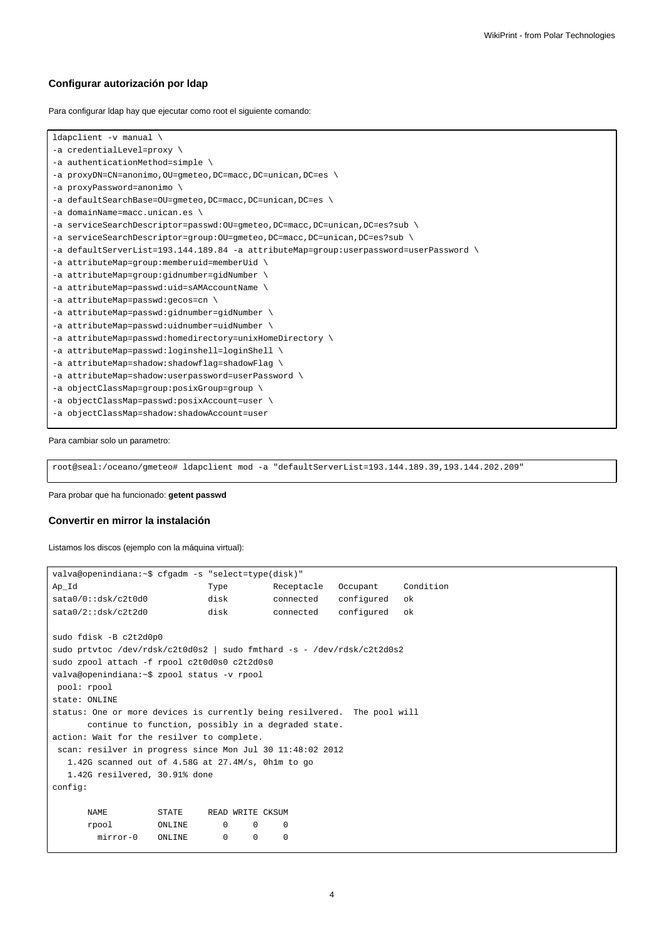### **Configurar autorización por ldap**

Para configurar ldap hay que ejecutar como root el siguiente comando:

```
ldapclient -v manual \
-a credentialLevel=proxy \
-a authenticationMethod=simple \
-a proxyDN=CN=anonimo,OU=gmeteo,DC=macc,DC=unican,DC=es \
-a proxyPassword=anonimo \
-a defaultSearchBase=OU=gmeteo,DC=macc,DC=unican,DC=es \
-a domainName=macc.unican.es \
-a serviceSearchDescriptor=passwd:OU=gmeteo,DC=macc,DC=unican,DC=es?sub \
-a serviceSearchDescriptor=group:OU=gmeteo,DC=macc,DC=unican,DC=es?sub \
-a defaultServerList=193.144.189.84 -a attributeMap=group:userpassword=userPassword \
-a attributeMap=group:memberuid=memberUid \
-a attributeMap=group:gidnumber=gidNumber \
-a attributeMap=passwd:uid=sAMAccountName \
-a attributeMap=passwd:gecos=cn \
-a attributeMap=passwd:gidnumber=gidNumber \
-a attributeMap=passwd:uidnumber=uidNumber \
-a attributeMap=passwd:homedirectory=unixHomeDirectory \
-a attributeMap=passwd:loginshell=loginShell \
-a attributeMap=shadow:shadowflag=shadowFlag \
-a attributeMap=shadow:userpassword=userPassword \
-a objectClassMap=group:posixGroup=group \
-a objectClassMap=passwd:posixAccount=user \
-a objectClassMap=shadow:shadowAccount=user
```
Para cambiar solo un parametro:

root@seal:/oceano/gmeteo# ldapclient mod -a "defaultServerList=193.144.189.39,193.144.202.209"

Para probar que ha funcionado: **getent passwd**

#### **Convertir en mirror la instalación**

Listamos los discos (ejemplo con la máquina virtual):

```
valva@openindiana:~$ cfgadm -s "select=type(disk)"
Ap_Id Type Receptacle Occupant Condition
sata0/0::dsk/c2t0d0 disk connected configured ok
sata0/2::dsk/c2t2d0 disk connected configured ok
sudo fdisk -B c2t2d0p0
sudo prtvtoc /dev/rdsk/c2t0d0s2 | sudo fmthard -s - /dev/rdsk/c2t2d0s2
sudo zpool attach -f rpool c2t0d0s0 c2t2d0s0
valva@openindiana:~$ zpool status -v rpool
pool: rpool
state: ONLINE
status: One or more devices is currently being resilvered. The pool will
     continue to function, possibly in a degraded state.
action: Wait for the resilver to complete.
scan: resilver in progress since Mon Jul 30 11:48:02 2012
  1.42G scanned out of 4.58G at 27.4M/s, 0h1m to go
  1.42G resilvered, 30.91% done
config:
     NAME STATE READ WRITE CKSUM
     rpool ONLINE 0 0 0
       mirror-0 ONLINE 0 0 0
```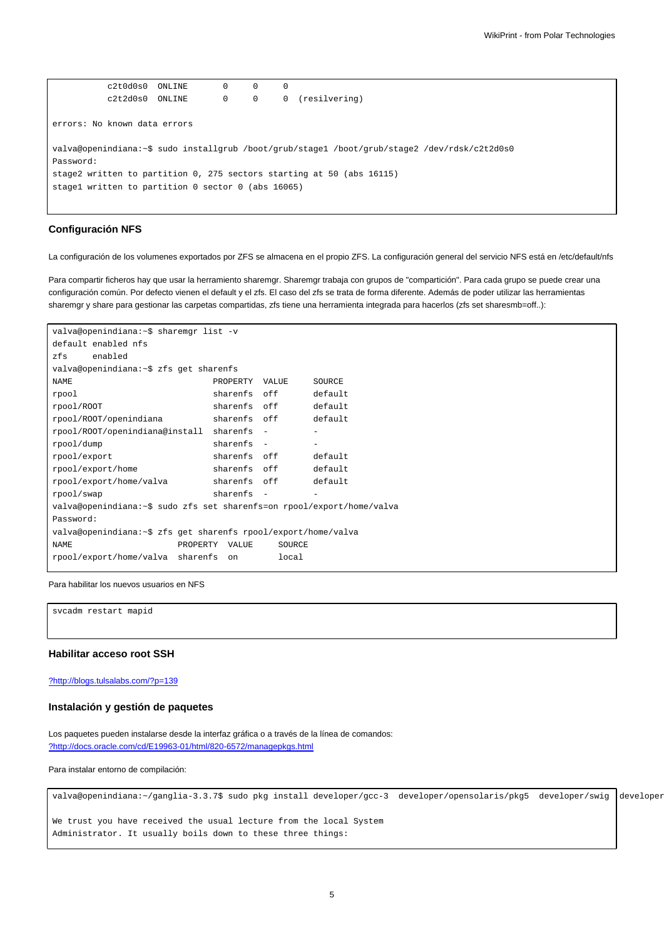$c2t0d0s0$   $ONLINE$   $0$   $0$   $0$ c2t2d0s0 ONLINE 0 0 0 (resilvering) errors: No known data errors valva@openindiana:~\$ sudo installgrub /boot/grub/stage1 /boot/grub/stage2 /dev/rdsk/c2t2d0s0 Password: stage2 written to partition 0, 275 sectors starting at 50 (abs 16115) stage1 written to partition 0 sector 0 (abs 16065)

## **Configuración NFS**

La configuración de los volumenes exportados por ZFS se almacena en el propio ZFS. La configuración general del servicio NFS está en /etc/default/nfs

Para compartir ficheros hay que usar la herramiento sharemgr. Sharemgr trabaja con grupos de "compartición". Para cada grupo se puede crear una configuración común. Por defecto vienen el default y el zfs. El caso del zfs se trata de forma diferente. Además de poder utilizar las herramientas sharemgr y share para gestionar las carpetas compartidas, zfs tiene una herramienta integrada para hacerlos (zfs set sharesmb=off..):

```
valva@openindiana:~$ sharemgr list -v
default enabled nfs
zfs enabled
valva@openindiana:~$ zfs get sharenfs
NAME NAME PROPERTY VALUE SOURCE
rpool sharenfs off default
rpool/ROOT sharenfs off default
rpool/ROOT/openindiana sharenfs off default
rpool/ROOT/openindiana@install sharenfs - -
rpool/dump sharenfs - -
rpool/export sharenfs off default
rpool/export/home sharenfs off default
rpool/export/home/valva sharenfs off default
rpool/swap sharenfs -
valva@openindiana:~$ sudo zfs set sharenfs=on rpool/export/home/valva
Password:
valva@openindiana:~$ zfs get sharenfs rpool/export/home/valva
NAME PROPERTY VALUE SOURCE
rpool/export/home/valva sharenfs on local
```
#### Para habilitar los nuevos usuarios en NFS

svcadm restart mapid

## **Habilitar acceso root SSH**

#### [?http://blogs.tulsalabs.com/?p=139](http://blogs.tulsalabs.com/?p=139)

#### **Instalación y gestión de paquetes**

Los paquetes pueden instalarse desde la interfaz gráfica o a través de la línea de comandos: [?http://docs.oracle.com/cd/E19963-01/html/820-6572/managepkgs.html](http://docs.oracle.com/cd/E19963-01/html/820-6572/managepkgs.html)

Para instalar entorno de compilación:

valva@openindiana:~/ganglia-3.3.7\$ sudo pkg install developer/gcc-3 developer/opensolaris/pkg5 developer/swig developer

We trust you have received the usual lecture from the local System Administrator. It usually boils down to these three things: